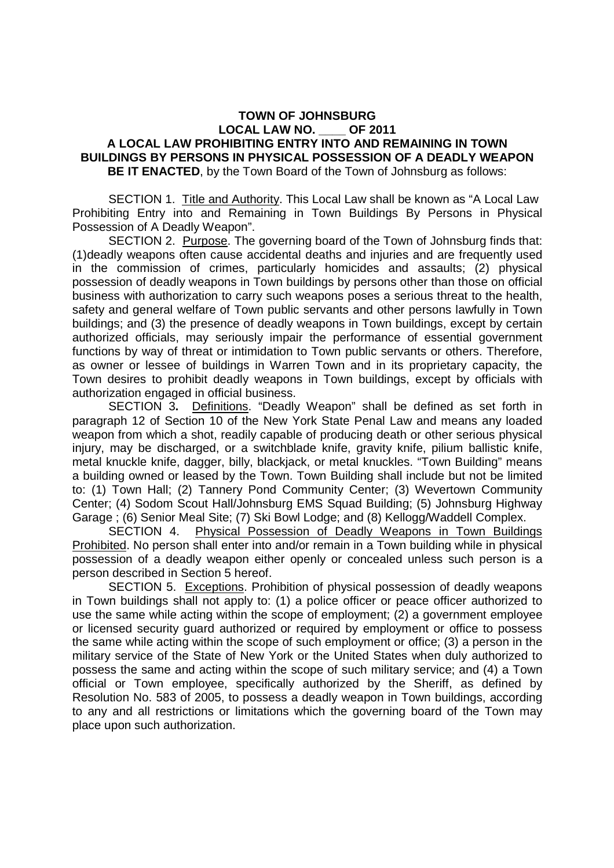## **TOWN OF JOHNSBURG LOCAL LAW NO. \_\_\_\_ OF 2011 A LOCAL LAW PROHIBITING ENTRY INTO AND REMAINING IN TOWN BUILDINGS BY PERSONS IN PHYSICAL POSSESSION OF A DEADLY WEAPON BE IT ENACTED**, by the Town Board of the Town of Johnsburg as follows:

 SECTION 1. Title and Authority. This Local Law shall be known as "A Local Law Prohibiting Entry into and Remaining in Town Buildings By Persons in Physical Possession of A Deadly Weapon".

 SECTION 2. Purpose. The governing board of the Town of Johnsburg finds that: (1)deadly weapons often cause accidental deaths and injuries and are frequently used in the commission of crimes, particularly homicides and assaults; (2) physical possession of deadly weapons in Town buildings by persons other than those on official business with authorization to carry such weapons poses a serious threat to the health, safety and general welfare of Town public servants and other persons lawfully in Town buildings; and (3) the presence of deadly weapons in Town buildings, except by certain authorized officials, may seriously impair the performance of essential government functions by way of threat or intimidation to Town public servants or others. Therefore, as owner or lessee of buildings in Warren Town and in its proprietary capacity, the Town desires to prohibit deadly weapons in Town buildings, except by officials with authorization engaged in official business.

 SECTION 3**.** Definitions. "Deadly Weapon" shall be defined as set forth in paragraph 12 of Section 10 of the New York State Penal Law and means any loaded weapon from which a shot, readily capable of producing death or other serious physical injury, may be discharged, or a switchblade knife, gravity knife, pilium ballistic knife, metal knuckle knife, dagger, billy, blackjack, or metal knuckles. "Town Building" means a building owned or leased by the Town. Town Building shall include but not be limited to: (1) Town Hall; (2) Tannery Pond Community Center; (3) Wevertown Community Center; (4) Sodom Scout Hall/Johnsburg EMS Squad Building; (5) Johnsburg Highway Garage ; (6) Senior Meal Site; (7) Ski Bowl Lodge; and (8) Kellogg/Waddell Complex.

 SECTION 4. Physical Possession of Deadly Weapons in Town Buildings Prohibited. No person shall enter into and/or remain in a Town building while in physical possession of a deadly weapon either openly or concealed unless such person is a person described in Section 5 hereof.

 SECTION 5. Exceptions. Prohibition of physical possession of deadly weapons in Town buildings shall not apply to: (1) a police officer or peace officer authorized to use the same while acting within the scope of employment; (2) a government employee or licensed security guard authorized or required by employment or office to possess the same while acting within the scope of such employment or office; (3) a person in the military service of the State of New York or the United States when duly authorized to possess the same and acting within the scope of such military service; and (4) a Town official or Town employee, specifically authorized by the Sheriff, as defined by Resolution No. 583 of 2005, to possess a deadly weapon in Town buildings, according to any and all restrictions or limitations which the governing board of the Town may place upon such authorization.